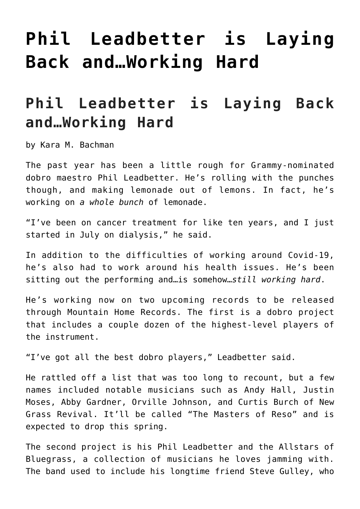## **[Phil Leadbetter is Laying](https://thebluegrassstandard.com/phil-leadbetter-is-laying-back-and-working-hard/) [Back and…Working Hard](https://thebluegrassstandard.com/phil-leadbetter-is-laying-back-and-working-hard/)**

## **Phil Leadbetter is Laying Back and…Working Hard**

by Kara M. Bachman

The past year has been a little rough for Grammy-nominated dobro maestro Phil Leadbetter. He's rolling with the punches though, and making lemonade out of lemons. In fact, he's working on *a whole bunch* of lemonade.

"I've been on cancer treatment for like ten years, and I just started in July on dialysis," he said.

In addition to the difficulties of working around Covid-19, he's also had to work around his health issues. He's been sitting out the performing and…is somehow…*still working hard*.

He's working now on two upcoming records to be released through Mountain Home Records. The first is a dobro project that includes a couple dozen of the highest-level players of the instrument.

"I've got all the best dobro players," Leadbetter said.

He rattled off a list that was too long to recount, but a few names included notable musicians such as Andy Hall, Justin Moses, Abby Gardner, Orville Johnson, and Curtis Burch of New Grass Revival. It'll be called "The Masters of Reso" and is expected to drop this spring.

The second project is his Phil Leadbetter and the Allstars of Bluegrass, a collection of musicians he loves jamming with. The band used to include his longtime friend Steve Gulley, who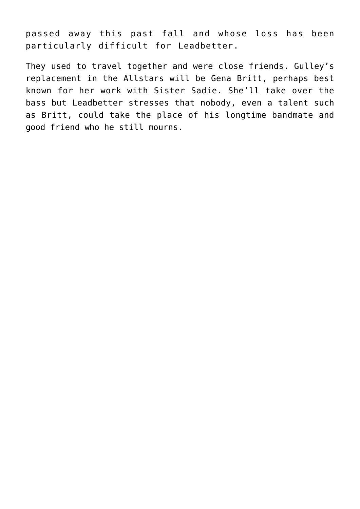passed away this past fall and whose loss has been particularly difficult for Leadbetter.

They used to travel together and were close friends. Gulley's replacement in the Allstars will be Gena Britt, perhaps best known for her work with Sister Sadie. She'll take over the bass but Leadbetter stresses that nobody, even a talent such as Britt, could take the place of his longtime bandmate and good friend who he still mourns.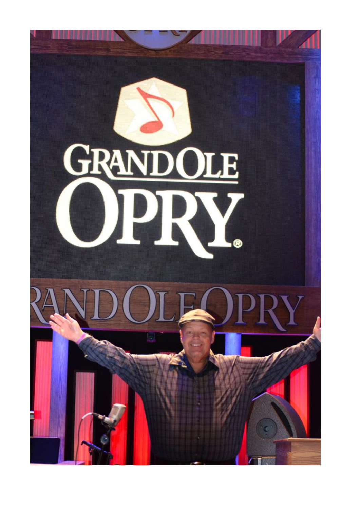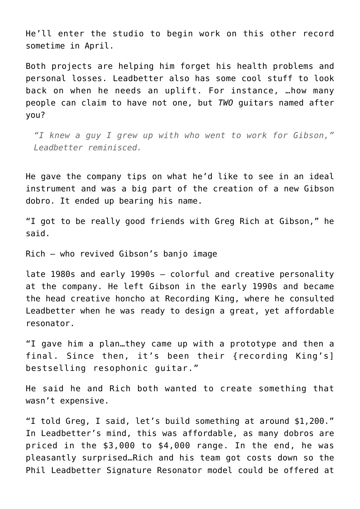He'll enter the studio to begin work on this other record sometime in April.

Both projects are helping him forget his health problems and personal losses. Leadbetter also has some cool stuff to look back on when he needs an uplift. For instance, …how many people can claim to have not one, but *TWO* guitars named after you?

*"I knew a guy I grew up with who went to work for Gibson," Leadbetter reminisced.*

He gave the company tips on what he'd like to see in an ideal instrument and was a big part of the creation of a new Gibson dobro. It ended up bearing his name.

"I got to be really good friends with Greg Rich at Gibson," he said.

Rich — who revived Gibson's banjo image

late 1980s and early 1990s — colorful and creative personality at the company. He left Gibson in the early 1990s and became the head creative honcho at Recording King, where he consulted Leadbetter when he was ready to design a great, yet affordable resonator.

"I gave him a plan…they came up with a prototype and then a final. Since then, it's been their {recording King's] bestselling resophonic guitar."

He said he and Rich both wanted to create something that wasn't expensive.

"I told Greg, I said, let's build something at around \$1,200." In Leadbetter's mind, this was affordable, as many dobros are priced in the \$3,000 to \$4,000 range. In the end, he was pleasantly surprised…Rich and his team got costs down so the Phil Leadbetter Signature Resonator model could be offered at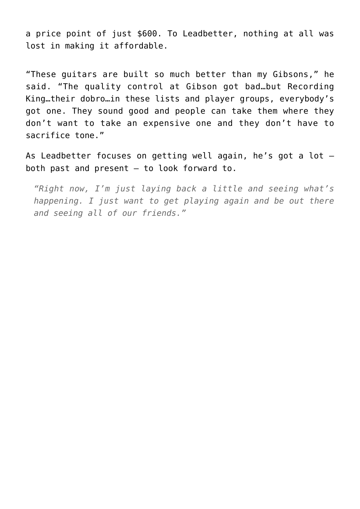a price point of just \$600. To Leadbetter, nothing at all was lost in making it affordable.

"These guitars are built so much better than my Gibsons," he said. "The quality control at Gibson got bad…but Recording King…their dobro…in these lists and player groups, everybody's got one. They sound good and people can take them where they don't want to take an expensive one and they don't have to sacrifice tone."

As Leadbetter focuses on getting well again, he's got a lot both past and present — to look forward to.

*"Right now, I'm just laying back a little and seeing what's happening. I just want to get playing again and be out there and seeing all of our friends."*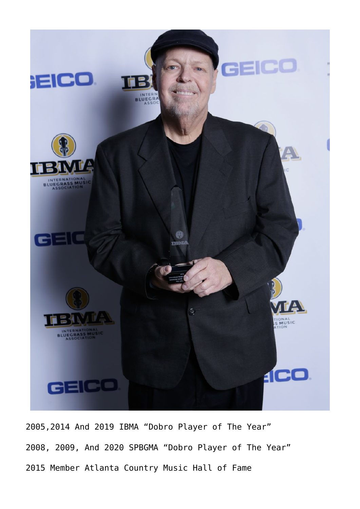

2005,2014 And 2019 IBMA "Dobro Player of The Year" 2008, 2009, And 2020 SPBGMA "Dobro Player of The Year" 2015 Member Atlanta Country Music Hall of Fame